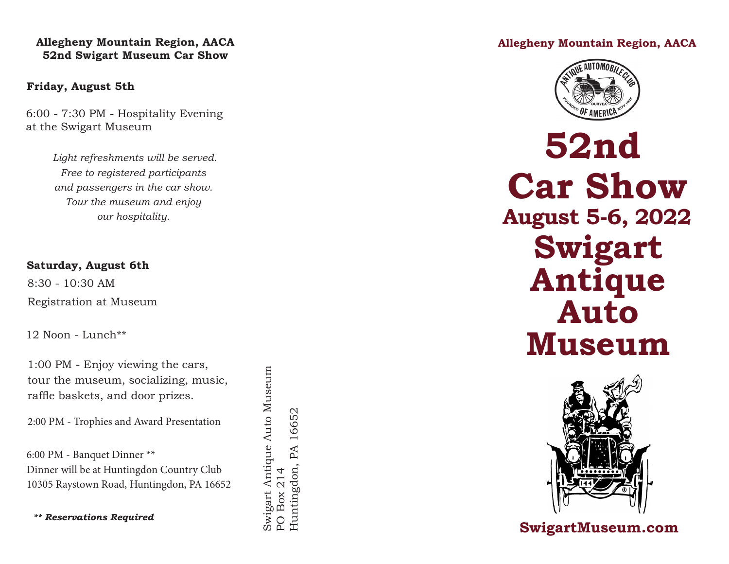### **Allegheny Mountain Region, AACA 52nd Swigart Museum Car Show**

### **Friday, August 5th**

6:00 - 7:30 PM - Hospitality Evening at the Swigart Museum

> *Light refreshments will be served. Free to registered participants and passengers in the car show. Tour the museum and enjoy our hospitality.*

### **Saturday, August 6th**

8:30 - 10:30 AM Registration at Museum

12 Noon - Lunch\*\*

1:00 PM - Enjoy viewing the cars, tour the museum, socializing, music, raffle baskets, and door prizes.

2:00 PM - Trophies and Award Presentation

6:00 PM - Banquet Dinner \*\* Dinner will be at Huntingdon Country Club 10305 Raystown Road, Huntingdon, PA 16652 Swigart Antique Auto Museum

Swigart Antique Auto Museum

PO Box 214

PO Box 214

Huntingdon, PA 16652

Huntingdon, PA 16652

*\*\* Reservations Required*

**Allegheny Mountain Region, AACA**



**52nd Car Show August 5-6, 2022 Swigart Antique Auto Museum**



## **SwigartMuseum.com**